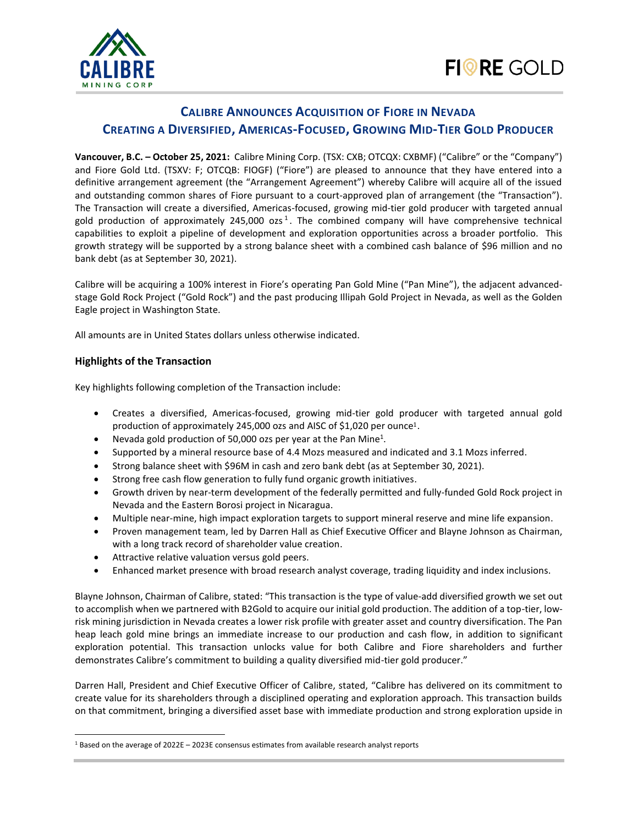

# **CALIBRE ANNOUNCES ACQUISITION OF FIORE IN NEVADA CREATING A DIVERSIFIED, AMERICAS-FOCUSED, GROWING MID-TIER GOLD PRODUCER**

**Vancouver, B.C. – October 25, 2021:** Calibre Mining Corp. (TSX: CXB; OTCQX: CXBMF) ("Calibre" or the "Company") and Fiore Gold Ltd. (TSXV: F; OTCQB: FIOGF) ("Fiore") are pleased to announce that they have entered into a definitive arrangement agreement (the "Arrangement Agreement") whereby Calibre will acquire all of the issued and outstanding common shares of Fiore pursuant to a court-approved plan of arrangement (the "Transaction"). The Transaction will create a diversified, Americas-focused, growing mid-tier gold producer with targeted annual gold production of approximately 245,000 ozs<sup>1</sup>. The combined company will have comprehensive technical capabilities to exploit a pipeline of development and exploration opportunities across a broader portfolio. This growth strategy will be supported by a strong balance sheet with a combined cash balance of \$96 million and no bank debt (as at September 30, 2021).

Calibre will be acquiring a 100% interest in Fiore's operating Pan Gold Mine ("Pan Mine"), the adjacent advancedstage Gold Rock Project ("Gold Rock") and the past producing Illipah Gold Project in Nevada, as well as the Golden Eagle project in Washington State.

All amounts are in United States dollars unless otherwise indicated.

## **Highlights of the Transaction**

Key highlights following completion of the Transaction include:

- Creates a diversified, Americas-focused, growing mid-tier gold producer with targeted annual gold production of approximately 245,000 ozs and AISC of \$1,020 per ounce<sup>1</sup>.
- Nevada gold production of 50,000 ozs per year at the Pan Mine<sup>1</sup>.
- Supported by a mineral resource base of 4.4 Mozs measured and indicated and 3.1 Mozs inferred.
- Strong balance sheet with \$96M in cash and zero bank debt (as at September 30, 2021).
- Strong free cash flow generation to fully fund organic growth initiatives.
- Growth driven by near-term development of the federally permitted and fully-funded Gold Rock project in Nevada and the Eastern Borosi project in Nicaragua.
- Multiple near-mine, high impact exploration targets to support mineral reserve and mine life expansion.
- Proven management team, led by Darren Hall as Chief Executive Officer and Blayne Johnson as Chairman, with a long track record of shareholder value creation.
- Attractive relative valuation versus gold peers.
- Enhanced market presence with broad research analyst coverage, trading liquidity and index inclusions.

Blayne Johnson, Chairman of Calibre, stated: "This transaction is the type of value-add diversified growth we set out to accomplish when we partnered with B2Gold to acquire our initial gold production. The addition of a top-tier, lowrisk mining jurisdiction in Nevada creates a lower risk profile with greater asset and country diversification. The Pan heap leach gold mine brings an immediate increase to our production and cash flow, in addition to significant exploration potential. This transaction unlocks value for both Calibre and Fiore shareholders and further demonstrates Calibre's commitment to building a quality diversified mid-tier gold producer."

Darren Hall, President and Chief Executive Officer of Calibre, stated, "Calibre has delivered on its commitment to create value for its shareholders through a disciplined operating and exploration approach. This transaction builds on that commitment, bringing a diversified asset base with immediate production and strong exploration upside in

<sup>1</sup> Based on the average of 2022E – 2023E consensus estimates from available research analyst reports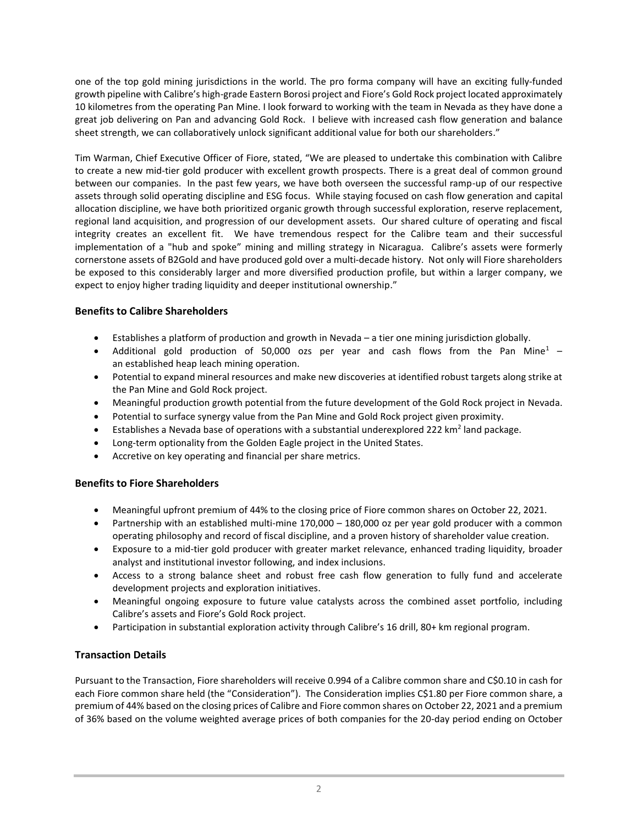one of the top gold mining jurisdictions in the world. The pro forma company will have an exciting fully-funded growth pipeline with Calibre's high-grade Eastern Borosi project and Fiore's Gold Rock project located approximately 10 kilometres from the operating Pan Mine. I look forward to working with the team in Nevada as they have done a great job delivering on Pan and advancing Gold Rock. I believe with increased cash flow generation and balance sheet strength, we can collaboratively unlock significant additional value for both our shareholders."

Tim Warman, Chief Executive Officer of Fiore, stated, "We are pleased to undertake this combination with Calibre to create a new mid-tier gold producer with excellent growth prospects. There is a great deal of common ground between our companies. In the past few years, we have both overseen the successful ramp-up of our respective assets through solid operating discipline and ESG focus. While staying focused on cash flow generation and capital allocation discipline, we have both prioritized organic growth through successful exploration, reserve replacement, regional land acquisition, and progression of our development assets. Our shared culture of operating and fiscal integrity creates an excellent fit. We have tremendous respect for the Calibre team and their successful implementation of a "hub and spoke" mining and milling strategy in Nicaragua. Calibre's assets were formerly cornerstone assets of B2Gold and have produced gold over a multi-decade history. Not only will Fiore shareholders be exposed to this considerably larger and more diversified production profile, but within a larger company, we expect to enjoy higher trading liquidity and deeper institutional ownership."

## **Benefits to Calibre Shareholders**

- Establishes a platform of production and growth in Nevada a tier one mining jurisdiction globally.
- Additional gold production of 50,000 ozs per year and cash flows from the Pan Mine<sup>1</sup> an established heap leach mining operation.
- Potential to expand mineral resources and make new discoveries at identified robust targets along strike at the Pan Mine and Gold Rock project.
- Meaningful production growth potential from the future development of the Gold Rock project in Nevada.
- Potential to surface synergy value from the Pan Mine and Gold Rock project given proximity.
- Establishes a Nevada base of operations with a substantial underexplored 222 km<sup>2</sup> land package.
- Long-term optionality from the Golden Eagle project in the United States.
- Accretive on key operating and financial per share metrics.

## **Benefits to Fiore Shareholders**

- Meaningful upfront premium of 44% to the closing price of Fiore common shares on October 22, 2021.
- Partnership with an established multi-mine 170,000 180,000 oz per year gold producer with a common operating philosophy and record of fiscal discipline, and a proven history of shareholder value creation.
- Exposure to a mid-tier gold producer with greater market relevance, enhanced trading liquidity, broader analyst and institutional investor following, and index inclusions.
- Access to a strong balance sheet and robust free cash flow generation to fully fund and accelerate development projects and exploration initiatives.
- Meaningful ongoing exposure to future value catalysts across the combined asset portfolio, including Calibre's assets and Fiore's Gold Rock project.
- Participation in substantial exploration activity through Calibre's 16 drill, 80+ km regional program.

# **Transaction Details**

Pursuant to the Transaction, Fiore shareholders will receive 0.994 of a Calibre common share and C\$0.10 in cash for each Fiore common share held (the "Consideration"). The Consideration implies C\$1.80 per Fiore common share, a premium of 44% based on the closing prices of Calibre and Fiore common shares on October 22, 2021 and a premium of 36% based on the volume weighted average prices of both companies for the 20-day period ending on October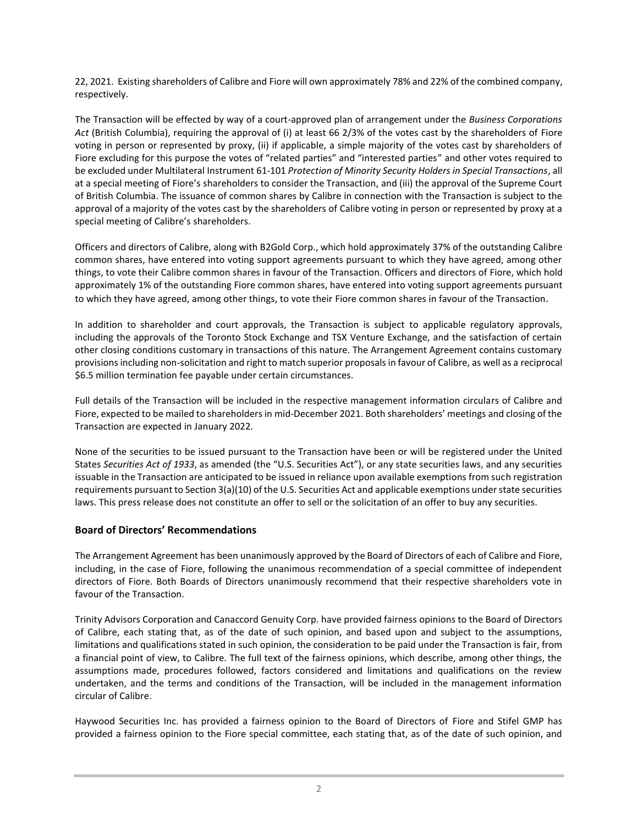22, 2021. Existing shareholders of Calibre and Fiore will own approximately 78% and 22% of the combined company, respectively.

The Transaction will be effected by way of a court-approved plan of arrangement under the *Business Corporations Act* (British Columbia), requiring the approval of (i) at least 66 2/3% of the votes cast by the shareholders of Fiore voting in person or represented by proxy, (ii) if applicable, a simple majority of the votes cast by shareholders of Fiore excluding for this purpose the votes of "related parties" and "interested parties" and other votes required to be excluded under Multilateral Instrument 61-101 *Protection of Minority Security Holders in Special Transactions*, all at a special meeting of Fiore's shareholders to consider the Transaction, and (iii) the approval of the Supreme Court of British Columbia. The issuance of common shares by Calibre in connection with the Transaction is subject to the approval of a majority of the votes cast by the shareholders of Calibre voting in person or represented by proxy at a special meeting of Calibre's shareholders.

Officers and directors of Calibre, along with B2Gold Corp., which hold approximately 37% of the outstanding Calibre common shares, have entered into voting support agreements pursuant to which they have agreed, among other things, to vote their Calibre common shares in favour of the Transaction. Officers and directors of Fiore, which hold approximately 1% of the outstanding Fiore common shares, have entered into voting support agreements pursuant to which they have agreed, among other things, to vote their Fiore common shares in favour of the Transaction.

In addition to shareholder and court approvals, the Transaction is subject to applicable regulatory approvals, including the approvals of the Toronto Stock Exchange and TSX Venture Exchange, and the satisfaction of certain other closing conditions customary in transactions of this nature. The Arrangement Agreement contains customary provisions including non-solicitation and right to match superior proposals in favour of Calibre, as well as a reciprocal \$6.5 million termination fee payable under certain circumstances.

Full details of the Transaction will be included in the respective management information circulars of Calibre and Fiore, expected to be mailed to shareholders in mid-December 2021. Both shareholders' meetings and closing of the Transaction are expected in January 2022.

None of the securities to be issued pursuant to the Transaction have been or will be registered under the United States *Securities Act of 1933*, as amended (the "U.S. Securities Act"), or any state securities laws, and any securities issuable in the Transaction are anticipated to be issued in reliance upon available exemptions from such registration requirements pursuant to Section 3(a)(10) of the U.S. Securities Act and applicable exemptions under state securities laws. This press release does not constitute an offer to sell or the solicitation of an offer to buy any securities.

## **Board of Directors' Recommendations**

The Arrangement Agreement has been unanimously approved by the Board of Directors of each of Calibre and Fiore, including, in the case of Fiore, following the unanimous recommendation of a special committee of independent directors of Fiore. Both Boards of Directors unanimously recommend that their respective shareholders vote in favour of the Transaction.

Trinity Advisors Corporation and Canaccord Genuity Corp. have provided fairness opinions to the Board of Directors of Calibre, each stating that, as of the date of such opinion, and based upon and subject to the assumptions, limitations and qualifications stated in such opinion, the consideration to be paid under the Transaction is fair, from a financial point of view, to Calibre. The full text of the fairness opinions, which describe, among other things, the assumptions made, procedures followed, factors considered and limitations and qualifications on the review undertaken, and the terms and conditions of the Transaction, will be included in the management information circular of Calibre.

Haywood Securities Inc. has provided a fairness opinion to the Board of Directors of Fiore and Stifel GMP has provided a fairness opinion to the Fiore special committee, each stating that, as of the date of such opinion, and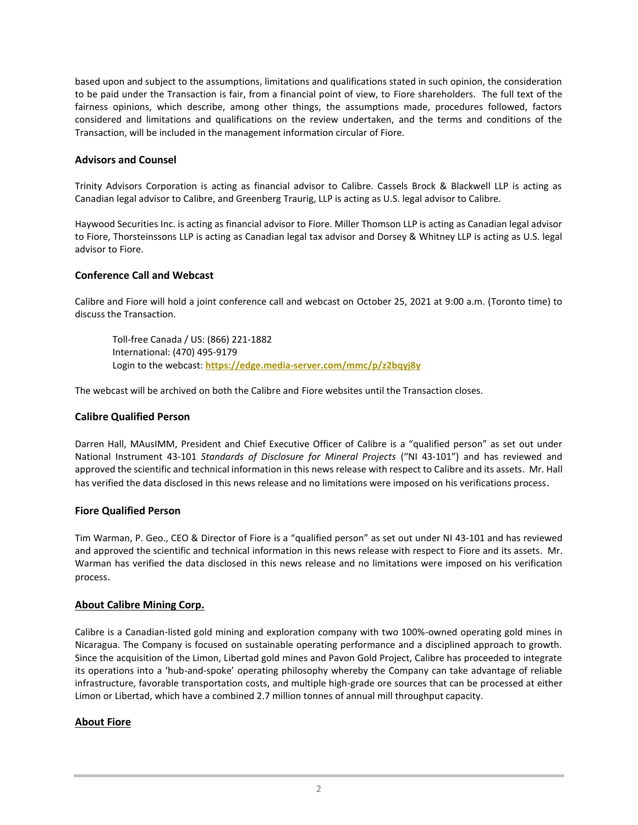based upon and subject to the assumptions, limitations and qualifications stated in such opinion, the consideration to be paid under the Transaction is fair, from a financial point of view, to Fiore shareholders. The full text of the fairness opinions, which describe, among other things, the assumptions made, procedures followed, factors considered and limitations and qualifications on the review undertaken, and the terms and conditions of the Transaction, will be included in the management information circular of Fiore.

### **Advisors and Counsel**

Trinity Advisors Corporation is acting as financial advisor to Calibre. Cassels Brock & Blackwell LLP is acting as Canadian legal advisor to Calibre, and Greenberg Traurig, LLP is acting as U.S. legal advisor to Calibre.

Haywood Securities Inc. is acting as financial advisor to Fiore. Miller Thomson LLP is acting as Canadian legal advisor to Fiore, Thorsteinssons LLP is acting as Canadian legal tax advisor and Dorsey & Whitney LLP is acting as U.S. legal advisor to Fiore.

## **Conference Call and Webcast**

Calibre and Fiore will hold a joint conference call and webcast on October 25, 2021 at 9:00 a.m. (Toronto time) to discuss the Transaction.

Toll-free Canada / US: (866) 221-1882 International: (470) 495-9179 Login to the webcast: **<https://edge.media-server.com/mmc/p/z2bqyj8y>**

The webcast will be archived on both the Calibre and Fiore websites until the Transaction closes.

#### **Calibre Qualified Person**

Darren Hall, MAusIMM, President and Chief Executive Officer of Calibre is a "qualified person" as set out under National Instrument 43-101 *Standards of Disclosure for Mineral Projects* ("NI 43-101") and has reviewed and approved the scientific and technical information in this news release with respect to Calibre and its assets. Mr. Hall has verified the data disclosed in this news release and no limitations were imposed on his verifications process.

#### **Fiore Qualified Person**

Tim Warman, P. Geo., CEO & Director of Fiore is a "qualified person" as set out under NI 43-101 and has reviewed and approved the scientific and technical information in this news release with respect to Fiore and its assets. Mr. Warman has verified the data disclosed in this news release and no limitations were imposed on his verification process.

## **About Calibre Mining Corp.**

Calibre is a Canadian-listed gold mining and exploration company with two 100%-owned operating gold mines in Nicaragua. The Company is focused on sustainable operating performance and a disciplined approach to growth. Since the acquisition of the Limon, Libertad gold mines and Pavon Gold Project, Calibre has proceeded to integrate its operations into a 'hub-and-spoke' operating philosophy whereby the Company can take advantage of reliable infrastructure, favorable transportation costs, and multiple high-grade ore sources that can be processed at either Limon or Libertad, which have a combined 2.7 million tonnes of annual mill throughput capacity.

## **About Fiore**